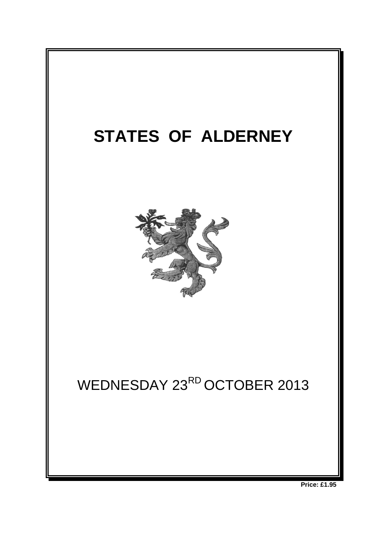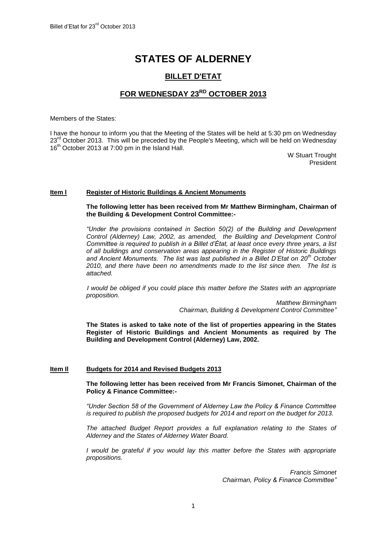# **STATES OF ALDERNEY**

# **BILLET D'ETAT**

# **FOR WEDNESDAY 23RD OCTOBER 2013**

Members of the States:

I have the honour to inform you that the Meeting of the States will be held at 5:30 pm on Wednesday 23<sup>rd</sup> October 2013. This will be preceded by the People's Meeting, which will be held on Wednesday 16<sup>th</sup> October 2013 at 7:00 pm in the Island Hall.

> W Stuart Trought President

# **Item l Register of Historic Buildings & Ancient Monuments**

**The following letter has been received from Mr Matthew Birmingham, Chairman of the Building & Development Control Committee:-**

*"Under the provisions contained in Section 50(2) of the Building and Development Control (Alderney) Law, 2002, as amended, the Building and Development Control Committee is required to publish in a Billet d'État, at least once every three years, a list of all buildings and conservation areas appearing in the Register of Historic Buildings and Ancient Monuments. The list was last published in a Billet D'Etat on 20th October 2010, and there have been no amendments made to the list since then. The list is attached.*

*I would be obliged if you could place this matter before the States with an appropriate proposition.*

> *Matthew Birmingham Chairman, Building & Development Control Committee"*

**The States is asked to take note of the list of properties appearing in the States Register of Historic Buildings and Ancient Monuments as required by The Building and Development Control (Alderney) Law, 2002.**

# **Item Il Budgets for 2014 and Revised Budgets 2013**

**The following letter has been received from Mr Francis Simonet, Chairman of the Policy & Finance Committee:-**

*"Under Section 58 of the Government of Alderney Law the Policy & Finance Committee is required to publish the proposed budgets for 2014 and report on the budget for 2013.* 

*The attached Budget Report provides a full explanation relating to the States of Alderney and the States of Alderney Water Board.*

*I* would be grateful if you would lay this matter before the States with appropriate *propositions.*

> *Francis Simonet Chairman, Policy & Finance Committee"*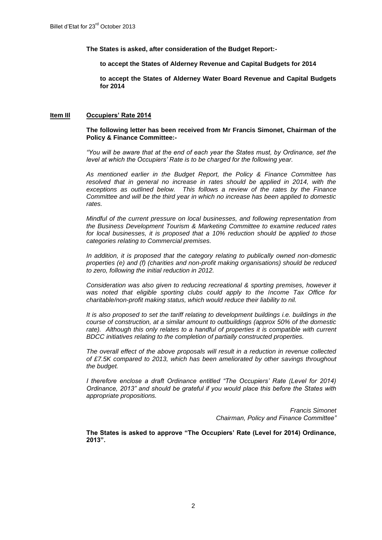**The States is asked, after consideration of the Budget Report:-**

**to accept the States of Alderney Revenue and Capital Budgets for 2014**

**to accept the States of Alderney Water Board Revenue and Capital Budgets for 2014**

### **Item IIl Occupiers' Rate 2014**

# **The following letter has been received from Mr Francis Simonet, Chairman of the Policy & Finance Committee:-**

*"You will be aware that at the end of each year the States must, by Ordinance, set the level at which the Occupiers' Rate is to be charged for the following year.*

*As mentioned earlier in the Budget Report, the Policy & Finance Committee has*  resolved that in general no increase in rates should be applied in 2014, with the *exceptions as outlined below. This follows a review of the rates by the Finance Committee and will be the third year in which no increase has been applied to domestic rates.*

*Mindful of the current pressure on local businesses, and following representation from the Business Development Tourism & Marketing Committee to examine reduced rates for local businesses, it is proposed that a 10% reduction should be applied to those categories relating to Commercial premises.* 

*In addition, it is proposed that the category relating to publically owned non-domestic properties (e) and (f) (charities and non-profit making organisations) should be reduced to zero, following the initial reduction in 2012.*

*Consideration was also given to reducing recreational & sporting premises, however it*  was noted that eligible sporting clubs could apply to the Income Tax Office for *charitable/non-profit making status, which would reduce their liability to nil.*

*It is also proposed to set the tariff relating to development buildings i.e. buildings in the course of construction, at a similar amount to outbuildings (approx 50% of the domestic*  rate). Although this only relates to a handful of properties it is compatible with current *BDCC initiatives relating to the completion of partially constructed properties.* 

*The overall effect of the above proposals will result in a reduction in revenue collected of £7.5K compared to 2013, which has been ameliorated by other savings throughout the budget.* 

*I therefore enclose a draft Ordinance entitled "The Occupiers' Rate (Level for 2014) Ordinance, 2013" and should be grateful if you would place this before the States with appropriate propositions.*

> *Francis Simonet Chairman, Policy and Finance Committee"*

**The States is asked to approve "The Occupiers' Rate (Level for 2014) Ordinance, 2013".**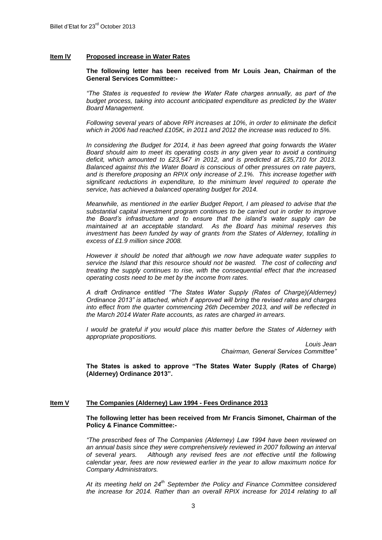#### **Item lV Proposed increase in Water Rates**

#### **The following letter has been received from Mr Louis Jean, Chairman of the General Services Committee:-**

*"The States is requested to review the Water Rate charges annually, as part of the budget process, taking into account anticipated expenditure as predicted by the Water Board Management.* 

*Following several years of above RPI increases at 10%, in order to eliminate the deficit which in 2006 had reached £105K, in 2011 and 2012 the increase was reduced to 5%.* 

*In considering the Budget for 2014, it has been agreed that going forwards the Water Board should aim to meet its operating costs in any given year to avoid a continuing deficit, which amounted to £23,547 in 2012, and is predicted at £35,710 for 2013. Balanced against this the Water Board is conscious of other pressures on rate payers, and is therefore proposing an RPIX only increase of 2.1%. This increase together with significant reductions in expenditure, to the minimum level required to operate the service, has achieved a balanced operating budget for 2014.*

*Meanwhile, as mentioned in the earlier Budget Report, I am pleased to advise that the substantial capital investment program continues to be carried out in order to improve the Board's infrastructure and to ensure that the island's water supply can be maintained at an acceptable standard. As the Board has minimal reserves this investment has been funded by way of grants from the States of Alderney, totalling in excess of £1.9 million since 2008.* 

*However it should be noted that although we now have adequate water supplies to service the Island that this resource should not be wasted. The cost of collecting and treating the supply continues to rise, with the consequential effect that the increased operating costs need to be met by the income from rates.* 

*A draft Ordinance entitled "The States Water Supply (Rates of Charge)(Alderney) Ordinance 2013" is attached, which if approved will bring the revised rates and charges into effect from the quarter commencing 26th December 2013, and will be reflected in the March 2014 Water Rate accounts, as rates are charged in arrears.*

*I* would be grateful if you would place this matter before the States of Alderney with *appropriate propositions.*

> *Louis Jean Chairman, General Services Committee"*

**The States is asked to approve "The States Water Supply (Rates of Charge) (Alderney) Ordinance 2013".**

### **Item V The Companies (Alderney) Law 1994 - Fees Ordinance 2013**

**The following letter has been received from Mr Francis Simonet, Chairman of the Policy & Finance Committee:-**

*"The prescribed fees of The Companies (Alderney) Law 1994 have been reviewed on an annual basis since they were comprehensively reviewed in 2007 following an interval of several years. Although any revised fees are not effective until the following calendar year, fees are now reviewed earlier in the year to allow maximum notice for Company Administrators.* 

*At its meeting held on 24th September the Policy and Finance Committee considered the increase for 2014. Rather than an overall RPIX increase for 2014 relating to all*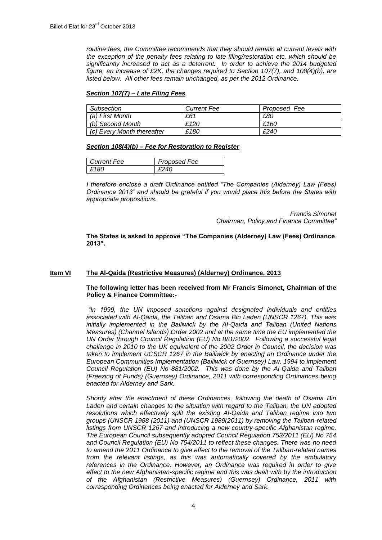*routine fees, the Committee recommends that they should remain at current levels with the exception of the penalty fees relating to late filing/restoration etc, which should be significantly increased to act as a deterrent. In order to achieve the 2014 budgeted figure, an increase of £2K, the changes required to Section 107(7), and 108(4)(b), are listed below. All other fees remain unchanged, as per the 2012 Ordinance.*

# *Section 107(7) – Late Filing Fees*

| Subsection                 | <b>Current Fee</b> | Proposed Fee |
|----------------------------|--------------------|--------------|
| (a) First Month            | £61                | £80          |
| (b) Second Month           | £120               | £160         |
| (c) Every Month thereafter | £180               | £240         |

#### *Section 108(4)(b) – Fee for Restoration to Register*

| <b>Current Fee</b> | Proposed Fee |
|--------------------|--------------|
| -181               |              |

*I therefore enclose a draft Ordinance entitled "The Companies (Alderney) Law (Fees) Ordinance 2013" and should be grateful if you would place this before the States with appropriate propositions.* 

> *Francis Simonet Chairman, Policy and Finance Committee"*

**The States is asked to approve "The Companies (Alderney) Law (Fees) Ordinance 2013".**

# **Item VI The Al-Qaida (Restrictive Measures) (Alderney) Ordinance, 2013**

# **The following letter has been received from Mr Francis Simonet, Chairman of the Policy & Finance Committee:-**

*"In 1999, the UN imposed sanctions against designated individuals and entities associated with Al-Qaida, the Taliban and Osama Bin Laden (UNSCR 1267). This was initially implemented in the Bailiwick by the Al-Qaida and Taliban (United Nations Measures) (Channel Islands) Order 2002 and at the same time the EU implemented the UN Order through Council Regulation (EU) No 881/2002. Following a successful legal challenge in 2010 to the UK equivalent of the 2002 Order in Council, the decision was taken to implement UCSCR 1267 in the Bailiwick by enacting an Ordinance under the European Communities Implementation (Bailiwick of Guernsey) Law, 1994 to implement Council Regulation (EU) No 881/2002. This was done by the Al-Qaida and Taliban (Freezing of Funds) (Guernsey) Ordinance, 2011 with corresponding Ordinances being enacted for Alderney and Sark.*

*Shortly after the enactment of these Ordinances, following the death of Osama Bin Laden and certain changes to the situation with regard to the Taliban, the UN adopted resolutions which effectively split the existing Al-Qaida and Taliban regime into two groups (UNSCR 1988 (2011) and (UNSCR 1989(2011) by removing the Taliban-related listings from UNSCR 1267 and introducing a new country-specific Afghanistan regime. The European Council subsequently adopted Council Regulation 753/2011 (EU) No 754 and Council Regulation (EU) No 754/2011 to reflect these changes. There was no need to amend the 2011 Ordinance to give effect to the removal of the Taliban-related names from the relevant listings, as this was automatically covered by the ambulatory references in the Ordinance. However, an Ordinance was required in order to give effect to the new Afghanistan-specific regime and this was dealt with by the introduction of the Afghanistan (Restrictive Measures) (Guernsey) Ordinance, 2011 with corresponding Ordinances being enacted for Alderney and Sark.*